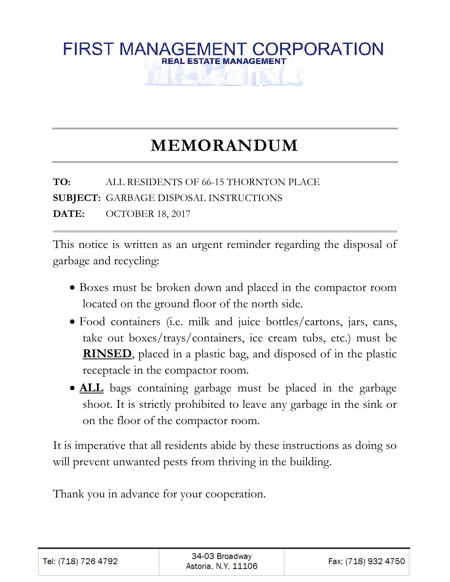## **FIRST MANAGEMENT CORPORATION REAL ESTATE MANAGEMENT**

# **MEMORANDUM**

**TO:** ALL RESIDENTS OF 66-15 THORNTON PLACE **SUBJECT:** GARBAGE DISPOSAL INSTRUCTIONS **DATE:** OCTOBER 18, 2017

This notice is written as an urgent reminder regarding the disposal of garbage and recycling:

- Boxes must be broken down and placed in the compactor room located on the ground floor of the north side.
- Food containers (i.e. milk and juice bottles/cartons, jars, cans, take out boxes/trays/containers, ice cream tubs, etc.) must be **RINSED**, placed in a plastic bag, and disposed of in the plastic receptacle in the compactor room.
- **ALL** bags containing garbage must be placed in the garbage shoot. It is strictly prohibited to leave any garbage in the sink or on the floor of the compactor room.

It is imperative that all residents abide by these instructions as doing so will prevent unwanted pests from thriving in the building.

Thank you in advance for your cooperation.

| Tel: (718) 726 4792 | 34-03 Broadway<br>Astoria, N.Y. 11106 | Fax: (718) 932 4750 |
|---------------------|---------------------------------------|---------------------|
|---------------------|---------------------------------------|---------------------|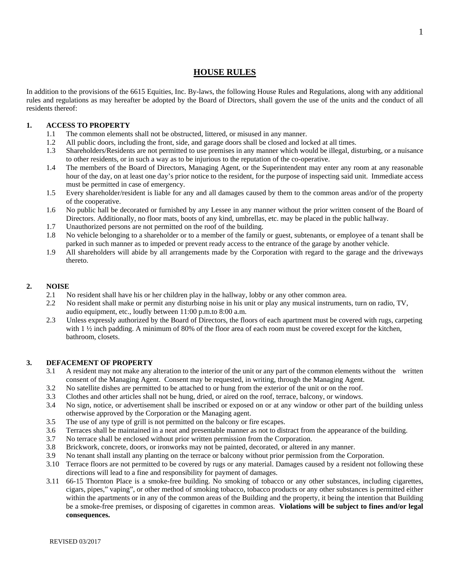### **HOUSE RULES**

In addition to the provisions of the 6615 Equities, Inc. By-laws, the following House Rules and Regulations, along with any additional rules and regulations as may hereafter be adopted by the Board of Directors, shall govern the use of the units and the conduct of all residents thereof:

#### **1. ACCESS TO PROPERTY**

- 1.1 The common elements shall not be obstructed, littered, or misused in any manner.
- 1.2 All public doors, including the front, side, and garage doors shall be closed and locked at all times.
- 1.3 Shareholders/Residents are not permitted to use premises in any manner which would be illegal, disturbing, or a nuisance to other residents, or in such a way as to be injurious to the reputation of the co-operative.
- 1.4 The members of the Board of Directors, Managing Agent, or the Superintendent may enter any room at any reasonable hour of the day, on at least one day's prior notice to the resident, for the purpose of inspecting said unit. Immediate access must be permitted in case of emergency.
- 1.5 Every shareholder/resident is liable for any and all damages caused by them to the common areas and/or of the property of the cooperative.
- 1.6 No public hall be decorated or furnished by any Lessee in any manner without the prior written consent of the Board of Directors. Additionally, no floor mats, boots of any kind, umbrellas, etc. may be placed in the public hallway.
- 1.7 Unauthorized persons are not permitted on the roof of the building.
- 1.8 No vehicle belonging to a shareholder or to a member of the family or guest, subtenants, or employee of a tenant shall be parked in such manner as to impeded or prevent ready access to the entrance of the garage by another vehicle.
- 1.9 All shareholders will abide by all arrangements made by the Corporation with regard to the garage and the driveways thereto.

#### **2. NOISE**

- 2.1 No resident shall have his or her children play in the hallway, lobby or any other common area.
- 2.2 No resident shall make or permit any disturbing noise in his unit or play any musical instruments, turn on radio, TV, audio equipment, etc., loudly between 11:00 p.m.to 8:00 a.m.
- 2.3 Unless expressly authorized by the Board of Directors, the floors of each apartment must be covered with rugs, carpeting with 1  $\frac{1}{2}$  inch padding. A minimum of 80% of the floor area of each room must be covered except for the kitchen, bathroom, closets.

#### **3. DEFACEMENT OF PROPERTY**

- 3.1 A resident may not make any alteration to the interior of the unit or any part of the common elements without the written consent of the Managing Agent. Consent may be requested, in writing, through the Managing Agent.
- 3.2 No satellite dishes are permitted to be attached to or hung from the exterior of the unit or on the roof.
- 3.3 Clothes and other articles shall not be hung, dried, or aired on the roof, terrace, balcony, or windows.
- 3.4 No sign, notice, or advertisement shall be inscribed or exposed on or at any window or other part of the building unless otherwise approved by the Corporation or the Managing agent.
- 3.5 The use of any type of grill is not permitted on the balcony or fire escapes.
- 3.6 Terraces shall be maintained in a neat and presentable manner as not to distract from the appearance of the building.
- 3.7 No terrace shall be enclosed without prior written permission from the Corporation.
- 3.8 Brickwork, concrete, doors, or ironworks may not be painted, decorated, or altered in any manner.
- 3.9 No tenant shall install any planting on the terrace or balcony without prior permission from the Corporation.
- 3.10 Terrace floors are not permitted to be covered by rugs or any material. Damages caused by a resident not following these directions will lead to a fine and responsibility for payment of damages.
- 3.11 66-15 Thornton Place is a smoke-free building. No smoking of tobacco or any other substances, including cigarettes, cigars, pipes," vaping", or other method of smoking tobacco, tobacco products or any other substances is permitted either within the apartments or in any of the common areas of the Building and the property, it being the intention that Building be a smoke-free premises, or disposing of cigarettes in common areas. **Violations will be subject to fines and/or legal consequences.**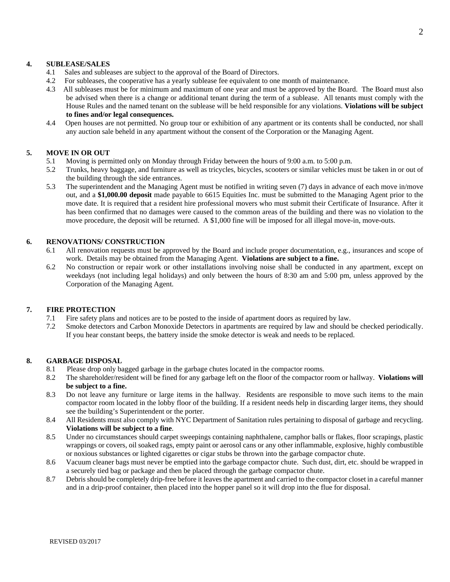#### **4. SUBLEASE/SALES**

- 4.1 Sales and subleases are subject to the approval of the Board of Directors.
- 4.2 For subleases, the cooperative has a yearly sublease fee equivalent to one month of maintenance.
- 4.3 All subleases must be for minimum and maximum of one year and must be approved by the Board. The Board must also be advised when there is a change or additional tenant during the term of a sublease. All tenants must comply with the House Rules and the named tenant on the sublease will be held responsible for any violations. **Violations will be subject to fines and/or legal consequences.**
- 4.4 Open houses are not permitted. No group tour or exhibition of any apartment or its contents shall be conducted, nor shall any auction sale beheld in any apartment without the consent of the Corporation or the Managing Agent.

#### **5. MOVE IN OR OUT**

- 5.1 Moving is permitted only on Monday through Friday between the hours of 9:00 a.m. to 5:00 p.m.
- 5.2 Trunks, heavy baggage, and furniture as well as tricycles, bicycles, scooters or similar vehicles must be taken in or out of the building through the side entrances.
- 5.3 The superintendent and the Managing Agent must be notified in writing seven (7) days in advance of each move in/move out, and a **\$1,000.00 deposit** made payable to 6615 Equities Inc. must be submitted to the Managing Agent prior to the move date. It is required that a resident hire professional movers who must submit their Certificate of Insurance. After it has been confirmed that no damages were caused to the common areas of the building and there was no violation to the move procedure, the deposit will be returned. A \$1,000 fine will be imposed for all illegal move-in, move-outs.

#### **6. RENOVATIONS/ CONSTRUCTION**

- 6.1 All renovation requests must be approved by the Board and include proper documentation, e.g., insurances and scope of work. Details may be obtained from the Managing Agent. **Violations are subject to a fine.**
- 6.2 No construction or repair work or other installations involving noise shall be conducted in any apartment, except on weekdays (not including legal holidays) and only between the hours of 8:30 am and 5:00 pm, unless approved by the Corporation of the Managing Agent.

#### **7. FIRE PROTECTION**

- 7.1 Fire safety plans and notices are to be posted to the inside of apartment doors as required by law.
- 7.2 Smoke detectors and Carbon Monoxide Detectors in apartments are required by law and should be checked periodically. If you hear constant beeps, the battery inside the smoke detector is weak and needs to be replaced.

#### **8. GARBAGE DISPOSAL**

- 8.1 Please drop only bagged garbage in the garbage chutes located in the compactor rooms.
- 8.2 The shareholder/resident will be fined for any garbage left on the floor of the compactor room or hallway. **Violations will be subject to a fine.**
- 8.3 Do not leave any furniture or large items in the hallway. Residents are responsible to move such items to the main compactor room located in the lobby floor of the building. If a resident needs help in discarding larger items, they should see the building's Superintendent or the porter.
- 8.4 All Residents must also comply with NYC Department of Sanitation rules pertaining to disposal of garbage and recycling. **Violations will be subject to a fine**.
- 8.5 Under no circumstances should carpet sweepings containing naphthalene, camphor balls or flakes, floor scrapings, plastic wrappings or covers, oil soaked rags, empty paint or aerosol cans or any other inflammable, explosive, highly combustible or noxious substances or lighted cigarettes or cigar stubs be thrown into the garbage compactor chute.
- 8.6 Vacuum cleaner bags must never be emptied into the garbage compactor chute. Such dust, dirt, etc. should be wrapped in a securely tied bag or package and then be placed through the garbage compactor chute.
- 8.7 Debris should be completely drip-free before it leaves the apartment and carried to the compactor closet in a careful manner and in a drip-proof container, then placed into the hopper panel so it will drop into the flue for disposal.